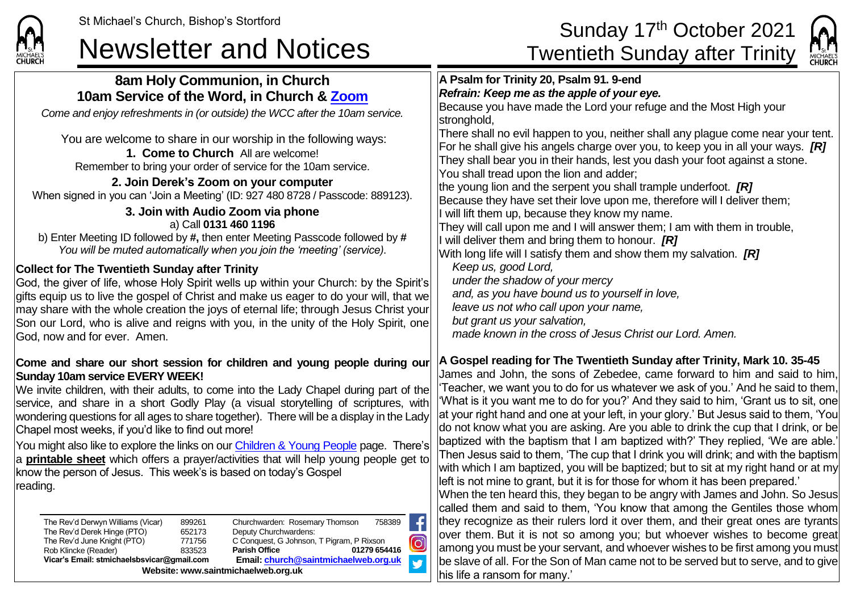## St Michael's Church, Bishop's Stortford<br>
A security of the Sunday 17<sup>th</sup> October 2021 Newsletter and Notices<br>
Twentieth Sunday after Trinity

be slave of all. For the Son of Man came not to be served but to serve, and to give



| <b>CHURCH</b>                                                                                                                                                                                                                                                                                                                                                                                                                                                                                                                                                                                                                                                                                                                                                                                                                             | <b>CHURCH</b>                                                                                                                                                                                                                                                                                                                                                                                                                                                                                                                                                                                                                                                                                                                                                                                                                                                                                                                                                                                         |
|-------------------------------------------------------------------------------------------------------------------------------------------------------------------------------------------------------------------------------------------------------------------------------------------------------------------------------------------------------------------------------------------------------------------------------------------------------------------------------------------------------------------------------------------------------------------------------------------------------------------------------------------------------------------------------------------------------------------------------------------------------------------------------------------------------------------------------------------|-------------------------------------------------------------------------------------------------------------------------------------------------------------------------------------------------------------------------------------------------------------------------------------------------------------------------------------------------------------------------------------------------------------------------------------------------------------------------------------------------------------------------------------------------------------------------------------------------------------------------------------------------------------------------------------------------------------------------------------------------------------------------------------------------------------------------------------------------------------------------------------------------------------------------------------------------------------------------------------------------------|
| 8am Holy Communion, in Church<br>10am Service of the Word, in Church & Zoom<br>Come and enjoy refreshments in (or outside) the WCC after the 10am service.<br>You are welcome to share in our worship in the following ways:<br>1. Come to Church All are welcome!<br>Remember to bring your order of service for the 10am service.<br>2. Join Derek's Zoom on your computer<br>When signed in you can 'Join a Meeting' (ID: 927 480 8728 / Passcode: 889123).<br>3. Join with Audio Zoom via phone<br>a) Call 0131 460 1196<br>b) Enter Meeting ID followed by #, then enter Meeting Passcode followed by #<br>You will be muted automatically when you join the 'meeting' (service).<br><b>Collect for The Twentieth Sunday after Trinity</b><br>God, the giver of life, whose Holy Spirit wells up within your Church: by the Spirit's | A Psalm for Trinity 20, Psalm 91. 9-end<br>Refrain: Keep me as the apple of your eye.<br>Because you have made the Lord your refuge and the Most High your<br>stronghold,<br>There shall no evil happen to you, neither shall any plague come near your tent.<br>For he shall give his angels charge over you, to keep you in all your ways. $[R]$<br>They shall bear you in their hands, lest you dash your foot against a stone.<br>You shall tread upon the lion and adder;<br>the young lion and the serpent you shall trample underfoot. $[R]$<br>Because they have set their love upon me, therefore will I deliver them;<br>will lift them up, because they know my name.<br>They will call upon me and I will answer them; I am with them in trouble,<br>will deliver them and bring them to honour. $[R]$<br>With long life will I satisfy them and show them my salvation. $[R]$<br>Keep us, good Lord,<br>under the shadow of your mercy<br>and, as you have bound us to yourself in love, |
| gifts equip us to live the gospel of Christ and make us eager to do your will, that we<br>may share with the whole creation the joys of eternal life; through Jesus Christ your<br>Son our Lord, who is alive and reigns with you, in the unity of the Holy Spirit, one<br>God, now and for ever. Amen.<br>Come and share our short session for children and young people during our                                                                                                                                                                                                                                                                                                                                                                                                                                                      | leave us not who call upon your name,<br>but grant us your salvation,<br>made known in the cross of Jesus Christ our Lord. Amen.<br>A Gospel reading for The Twentieth Sunday after Trinity, Mark 10. 35-45                                                                                                                                                                                                                                                                                                                                                                                                                                                                                                                                                                                                                                                                                                                                                                                           |
| <b>Sunday 10am service EVERY WEEK!</b><br>We invite children, with their adults, to come into the Lady Chapel during part of the<br>service, and share in a short Godly Play (a visual storytelling of scriptures, with<br>wondering questions for all ages to share together). There will be a display in the Lady<br>Chapel most weeks, if you'd like to find out more!<br>You might also like to explore the links on our <b>Children &amp; Young People</b> page. There's<br>a <b>printable sheet</b> which offers a prayer/activities that will help young people get to<br>know the person of Jesus. This week's is based on today's Gospel<br>reading.                                                                                                                                                                             | James and John, the sons of Zebedee, came forward to him and said to him,<br>'Teacher, we want you to do for us whatever we ask of you.' And he said to them,<br>'What is it you want me to do for you?' And they said to him, 'Grant us to sit, one<br>at your right hand and one at your left, in your glory.' But Jesus said to them, 'You<br>do not know what you are asking. Are you able to drink the cup that I drink, or be<br>baptized with the baptism that I am baptized with?' They replied, 'We are able.'<br>Then Jesus said to them, 'The cup that I drink you will drink; and with the baptism<br>with which I am baptized, you will be baptized; but to sit at my right hand or at my<br>left is not mine to grant, but it is for those for whom it has been prepared.'<br>When the ten heard this, they began to be angry with James and John. So Jesus                                                                                                                             |
| f<br>Churchwarden: Rosemary Thomson<br>758389<br>The Rev'd Derwyn Williams (Vicar)<br>899261<br>The Rev'd Derek Hinge (PTO)<br>652173<br>Deputy Churchwardens:<br>$\textcircled{\small{}}$<br>The Rev'd June Knight (PTO)<br>771756<br>C Conquest, G Johnson, T Pigram, P Rixson<br>Rob Klincke (Reader)<br>833523<br><b>Parish Office</b><br>01279 654416                                                                                                                                                                                                                                                                                                                                                                                                                                                                                | called them and said to them, 'You know that among the Gentiles those whom<br>they recognize as their rulers lord it over them, and their great ones are tyrants<br>over them. But it is not so among you; but whoever wishes to become great<br>among you must be your servant, and whoever wishes to be first among you must                                                                                                                                                                                                                                                                                                                                                                                                                                                                                                                                                                                                                                                                        |

**V** 

his life a ransom for many.'

Rob Klincke (Reader) 833523 **Parish Office 01279 654416 Vicar's Email: stmichaelsbsvicar@gmail.com Email[: church@saintmichaelweb.org.uk](mailto:church@saintmichaelweb.org.uk)**

**Website: www.saintmichaelweb.org.uk**